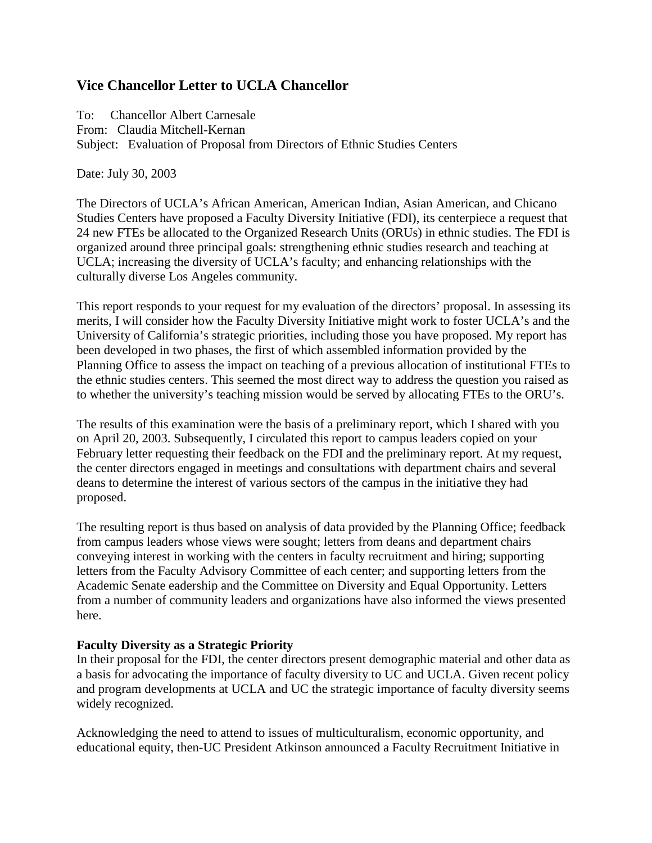# **Vice Chancellor Letter to UCLA Chancellor**

To: Chancellor Albert Carnesale From: Claudia Mitchell-Kernan Subject: Evaluation of Proposal from Directors of Ethnic Studies Centers

Date: July 30, 2003

The Directors of UCLA's African American, American Indian, Asian American, and Chicano Studies Centers have proposed a Faculty Diversity Initiative (FDI), its centerpiece a request that 24 new FTEs be allocated to the Organized Research Units (ORUs) in ethnic studies. The FDI is organized around three principal goals: strengthening ethnic studies research and teaching at UCLA; increasing the diversity of UCLA's faculty; and enhancing relationships with the culturally diverse Los Angeles community.

This report responds to your request for my evaluation of the directors' proposal. In assessing its merits, I will consider how the Faculty Diversity Initiative might work to foster UCLA's and the University of California's strategic priorities, including those you have proposed. My report has been developed in two phases, the first of which assembled information provided by the Planning Office to assess the impact on teaching of a previous allocation of institutional FTEs to the ethnic studies centers. This seemed the most direct way to address the question you raised as to whether the university's teaching mission would be served by allocating FTEs to the ORU's.

The results of this examination were the basis of a preliminary report, which I shared with you on April 20, 2003. Subsequently, I circulated this report to campus leaders copied on your February letter requesting their feedback on the FDI and the preliminary report. At my request, the center directors engaged in meetings and consultations with department chairs and several deans to determine the interest of various sectors of the campus in the initiative they had proposed.

The resulting report is thus based on analysis of data provided by the Planning Office; feedback from campus leaders whose views were sought; letters from deans and department chairs conveying interest in working with the centers in faculty recruitment and hiring; supporting letters from the Faculty Advisory Committee of each center; and supporting letters from the Academic Senate eadership and the Committee on Diversity and Equal Opportunity. Letters from a number of community leaders and organizations have also informed the views presented here.

#### **Faculty Diversity as a Strategic Priority**

In their proposal for the FDI, the center directors present demographic material and other data as a basis for advocating the importance of faculty diversity to UC and UCLA. Given recent policy and program developments at UCLA and UC the strategic importance of faculty diversity seems widely recognized.

Acknowledging the need to attend to issues of multiculturalism, economic opportunity, and educational equity, then-UC President Atkinson announced a Faculty Recruitment Initiative in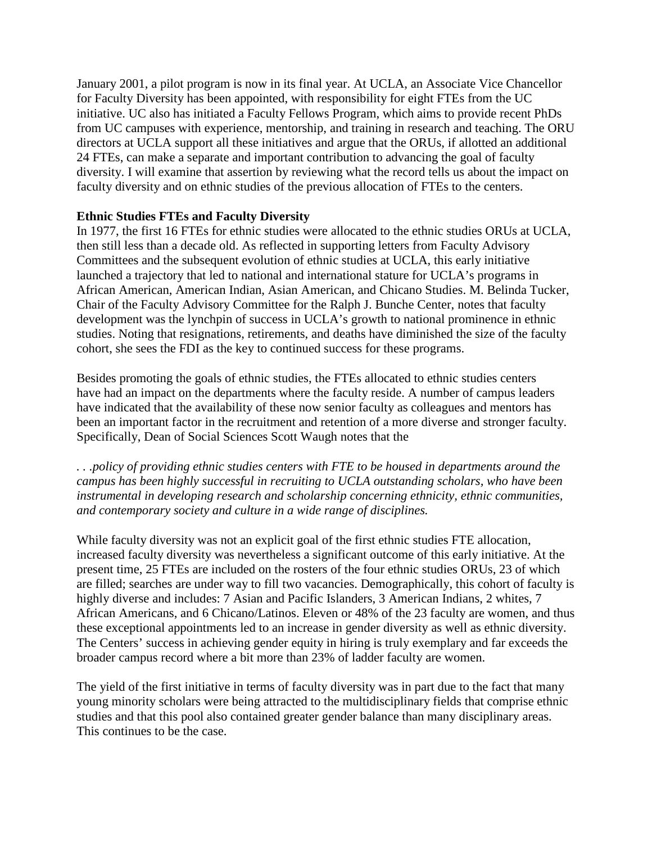January 2001, a pilot program is now in its final year. At UCLA, an Associate Vice Chancellor for Faculty Diversity has been appointed, with responsibility for eight FTEs from the UC initiative. UC also has initiated a Faculty Fellows Program, which aims to provide recent PhDs from UC campuses with experience, mentorship, and training in research and teaching. The ORU directors at UCLA support all these initiatives and argue that the ORUs, if allotted an additional 24 FTEs, can make a separate and important contribution to advancing the goal of faculty diversity. I will examine that assertion by reviewing what the record tells us about the impact on faculty diversity and on ethnic studies of the previous allocation of FTEs to the centers.

## **Ethnic Studies FTEs and Faculty Diversity**

In 1977, the first 16 FTEs for ethnic studies were allocated to the ethnic studies ORUs at UCLA, then still less than a decade old. As reflected in supporting letters from Faculty Advisory Committees and the subsequent evolution of ethnic studies at UCLA, this early initiative launched a trajectory that led to national and international stature for UCLA's programs in African American, American Indian, Asian American, and Chicano Studies. M. Belinda Tucker, Chair of the Faculty Advisory Committee for the Ralph J. Bunche Center, notes that faculty development was the lynchpin of success in UCLA's growth to national prominence in ethnic studies. Noting that resignations, retirements, and deaths have diminished the size of the faculty cohort, she sees the FDI as the key to continued success for these programs.

Besides promoting the goals of ethnic studies, the FTEs allocated to ethnic studies centers have had an impact on the departments where the faculty reside. A number of campus leaders have indicated that the availability of these now senior faculty as colleagues and mentors has been an important factor in the recruitment and retention of a more diverse and stronger faculty. Specifically, Dean of Social Sciences Scott Waugh notes that the

*. . .policy of providing ethnic studies centers with FTE to be housed in departments around the campus has been highly successful in recruiting to UCLA outstanding scholars, who have been instrumental in developing research and scholarship concerning ethnicity, ethnic communities, and contemporary society and culture in a wide range of disciplines.* 

While faculty diversity was not an explicit goal of the first ethnic studies FTE allocation, increased faculty diversity was nevertheless a significant outcome of this early initiative. At the present time, 25 FTEs are included on the rosters of the four ethnic studies ORUs, 23 of which are filled; searches are under way to fill two vacancies. Demographically, this cohort of faculty is highly diverse and includes: 7 Asian and Pacific Islanders, 3 American Indians, 2 whites, 7 African Americans, and 6 Chicano/Latinos. Eleven or 48% of the 23 faculty are women, and thus these exceptional appointments led to an increase in gender diversity as well as ethnic diversity. The Centers' success in achieving gender equity in hiring is truly exemplary and far exceeds the broader campus record where a bit more than 23% of ladder faculty are women.

The yield of the first initiative in terms of faculty diversity was in part due to the fact that many young minority scholars were being attracted to the multidisciplinary fields that comprise ethnic studies and that this pool also contained greater gender balance than many disciplinary areas. This continues to be the case.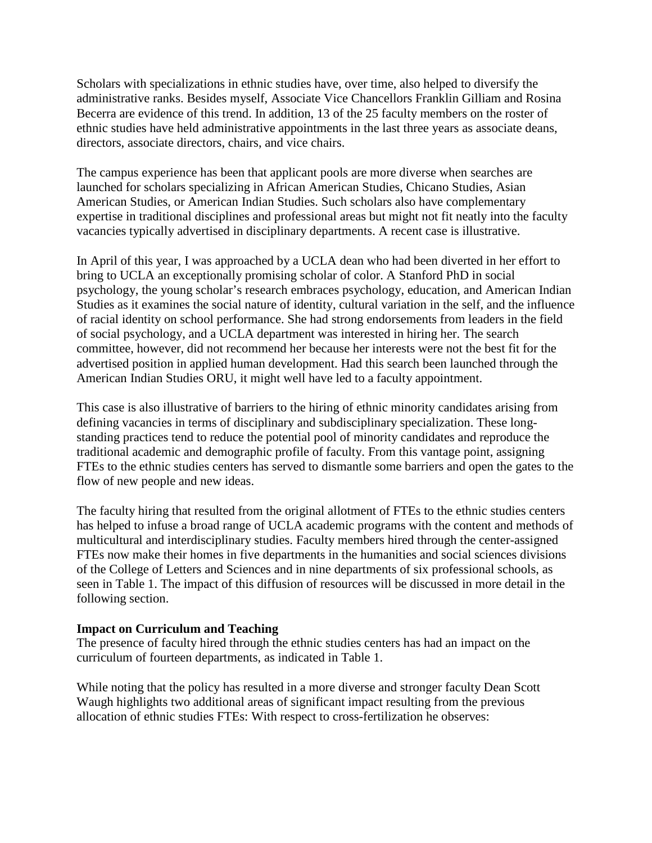Scholars with specializations in ethnic studies have, over time, also helped to diversify the administrative ranks. Besides myself, Associate Vice Chancellors Franklin Gilliam and Rosina Becerra are evidence of this trend. In addition, 13 of the 25 faculty members on the roster of ethnic studies have held administrative appointments in the last three years as associate deans, directors, associate directors, chairs, and vice chairs.

The campus experience has been that applicant pools are more diverse when searches are launched for scholars specializing in African American Studies, Chicano Studies, Asian American Studies, or American Indian Studies. Such scholars also have complementary expertise in traditional disciplines and professional areas but might not fit neatly into the faculty vacancies typically advertised in disciplinary departments. A recent case is illustrative.

In April of this year, I was approached by a UCLA dean who had been diverted in her effort to bring to UCLA an exceptionally promising scholar of color. A Stanford PhD in social psychology, the young scholar's research embraces psychology, education, and American Indian Studies as it examines the social nature of identity, cultural variation in the self, and the influence of racial identity on school performance. She had strong endorsements from leaders in the field of social psychology, and a UCLA department was interested in hiring her. The search committee, however, did not recommend her because her interests were not the best fit for the advertised position in applied human development. Had this search been launched through the American Indian Studies ORU, it might well have led to a faculty appointment.

This case is also illustrative of barriers to the hiring of ethnic minority candidates arising from defining vacancies in terms of disciplinary and subdisciplinary specialization. These longstanding practices tend to reduce the potential pool of minority candidates and reproduce the traditional academic and demographic profile of faculty. From this vantage point, assigning FTEs to the ethnic studies centers has served to dismantle some barriers and open the gates to the flow of new people and new ideas.

The faculty hiring that resulted from the original allotment of FTEs to the ethnic studies centers has helped to infuse a broad range of UCLA academic programs with the content and methods of multicultural and interdisciplinary studies. Faculty members hired through the center-assigned FTEs now make their homes in five departments in the humanities and social sciences divisions of the College of Letters and Sciences and in nine departments of six professional schools, as seen in Table 1. The impact of this diffusion of resources will be discussed in more detail in the following section.

#### **Impact on Curriculum and Teaching**

The presence of faculty hired through the ethnic studies centers has had an impact on the curriculum of fourteen departments, as indicated in Table 1.

While noting that the policy has resulted in a more diverse and stronger faculty Dean Scott Waugh highlights two additional areas of significant impact resulting from the previous allocation of ethnic studies FTEs: With respect to cross-fertilization he observes: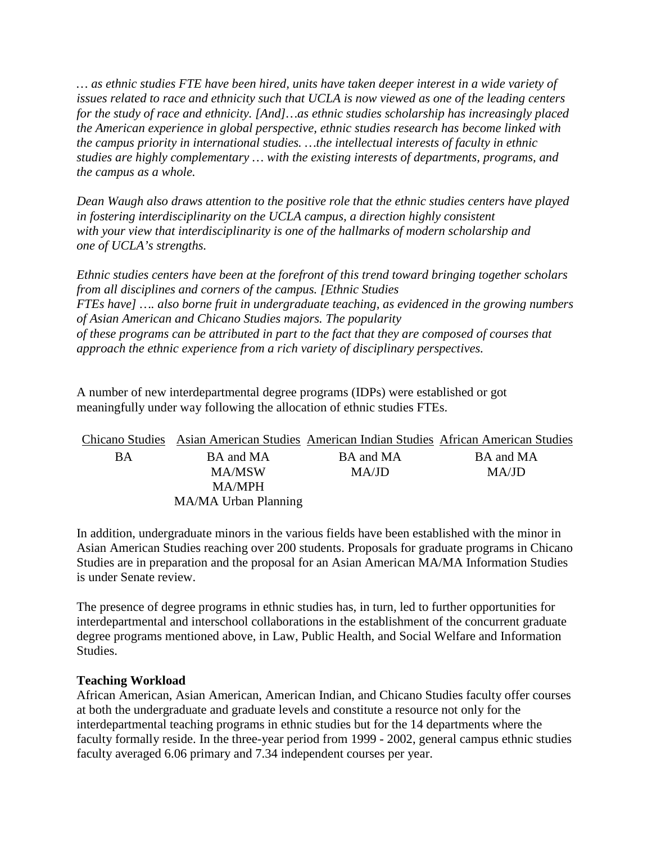*… as ethnic studies FTE have been hired, units have taken deeper interest in a wide variety of issues related to race and ethnicity such that UCLA is now viewed as one of the leading centers for the study of race and ethnicity. [And]…as ethnic studies scholarship has increasingly placed the American experience in global perspective, ethnic studies research has become linked with the campus priority in international studies. …the intellectual interests of faculty in ethnic studies are highly complementary … with the existing interests of departments, programs, and the campus as a whole.* 

*Dean Waugh also draws attention to the positive role that the ethnic studies centers have played in fostering interdisciplinarity on the UCLA campus, a direction highly consistent*  with your view that interdisciplinarity is one of the hallmarks of modern scholarship and *one of UCLA's strengths.* 

*Ethnic studies centers have been at the forefront of this trend toward bringing together scholars from all disciplines and corners of the campus. [Ethnic Studies FTEs have] …. also borne fruit in undergraduate teaching, as evidenced in the growing numbers of Asian American and Chicano Studies majors. The popularity of these programs can be attributed in part to the fact that they are composed of courses that approach the ethnic experience from a rich variety of disciplinary perspectives.* 

A number of new interdepartmental degree programs (IDPs) were established or got meaningfully under way following the allocation of ethnic studies FTEs.

|    |                      |           | Chicano Studies Asian American Studies American Indian Studies African American Studies |
|----|----------------------|-----------|-----------------------------------------------------------------------------------------|
| BA | BA and MA            | BA and MA | BA and MA                                                                               |
|    | MA/MSW               | MA/JD     | MA/JD                                                                                   |
|    | <b>MA/MPH</b>        |           |                                                                                         |
|    | MA/MA Urban Planning |           |                                                                                         |

In addition, undergraduate minors in the various fields have been established with the minor in Asian American Studies reaching over 200 students. Proposals for graduate programs in Chicano Studies are in preparation and the proposal for an Asian American MA/MA Information Studies is under Senate review.

The presence of degree programs in ethnic studies has, in turn, led to further opportunities for interdepartmental and interschool collaborations in the establishment of the concurrent graduate degree programs mentioned above, in Law, Public Health, and Social Welfare and Information Studies.

#### **Teaching Workload**

African American, Asian American, American Indian, and Chicano Studies faculty offer courses at both the undergraduate and graduate levels and constitute a resource not only for the interdepartmental teaching programs in ethnic studies but for the 14 departments where the faculty formally reside. In the three-year period from 1999 - 2002, general campus ethnic studies faculty averaged 6.06 primary and 7.34 independent courses per year.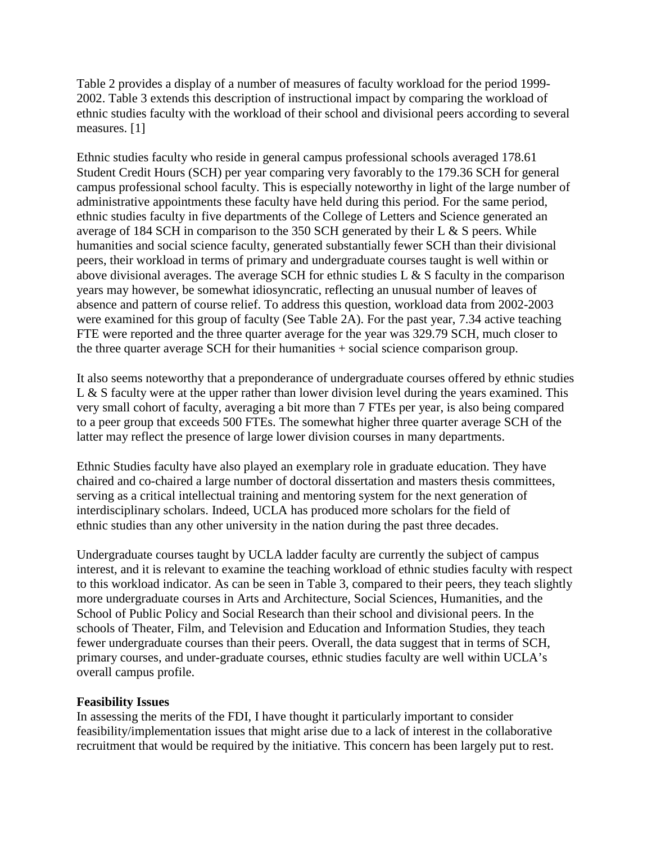Table 2 provides a display of a number of measures of faculty workload for the period 1999- 2002. Table 3 extends this description of instructional impact by comparing the workload of ethnic studies faculty with the workload of their school and divisional peers according to several measures. [1]

Ethnic studies faculty who reside in general campus professional schools averaged 178.61 Student Credit Hours (SCH) per year comparing very favorably to the 179.36 SCH for general campus professional school faculty. This is especially noteworthy in light of the large number of administrative appointments these faculty have held during this period. For the same period, ethnic studies faculty in five departments of the College of Letters and Science generated an average of 184 SCH in comparison to the 350 SCH generated by their L & S peers. While humanities and social science faculty, generated substantially fewer SCH than their divisional peers, their workload in terms of primary and undergraduate courses taught is well within or above divisional averages. The average SCH for ethnic studies  $L \& S$  faculty in the comparison years may however, be somewhat idiosyncratic, reflecting an unusual number of leaves of absence and pattern of course relief. To address this question, workload data from 2002-2003 were examined for this group of faculty (See Table 2A). For the past year, 7.34 active teaching FTE were reported and the three quarter average for the year was 329.79 SCH, much closer to the three quarter average SCH for their humanities + social science comparison group.

It also seems noteworthy that a preponderance of undergraduate courses offered by ethnic studies L & S faculty were at the upper rather than lower division level during the years examined. This very small cohort of faculty, averaging a bit more than 7 FTEs per year, is also being compared to a peer group that exceeds 500 FTEs. The somewhat higher three quarter average SCH of the latter may reflect the presence of large lower division courses in many departments.

Ethnic Studies faculty have also played an exemplary role in graduate education. They have chaired and co-chaired a large number of doctoral dissertation and masters thesis committees, serving as a critical intellectual training and mentoring system for the next generation of interdisciplinary scholars. Indeed, UCLA has produced more scholars for the field of ethnic studies than any other university in the nation during the past three decades.

Undergraduate courses taught by UCLA ladder faculty are currently the subject of campus interest, and it is relevant to examine the teaching workload of ethnic studies faculty with respect to this workload indicator. As can be seen in Table 3, compared to their peers, they teach slightly more undergraduate courses in Arts and Architecture, Social Sciences, Humanities, and the School of Public Policy and Social Research than their school and divisional peers. In the schools of Theater, Film, and Television and Education and Information Studies, they teach fewer undergraduate courses than their peers. Overall, the data suggest that in terms of SCH, primary courses, and under-graduate courses, ethnic studies faculty are well within UCLA's overall campus profile.

#### **Feasibility Issues**

In assessing the merits of the FDI, I have thought it particularly important to consider feasibility/implementation issues that might arise due to a lack of interest in the collaborative recruitment that would be required by the initiative. This concern has been largely put to rest.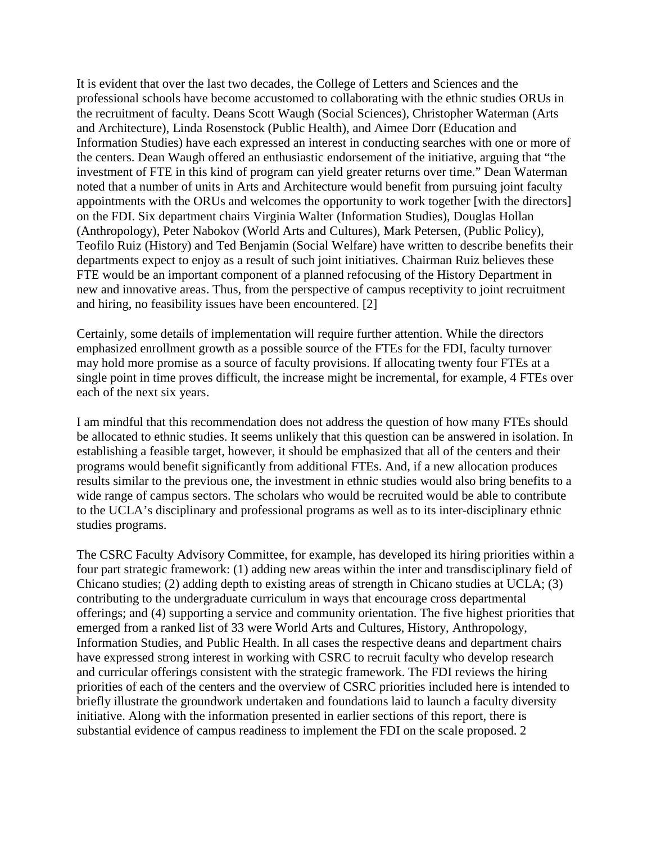It is evident that over the last two decades, the College of Letters and Sciences and the professional schools have become accustomed to collaborating with the ethnic studies ORUs in the recruitment of faculty. Deans Scott Waugh (Social Sciences), Christopher Waterman (Arts and Architecture), Linda Rosenstock (Public Health), and Aimee Dorr (Education and Information Studies) have each expressed an interest in conducting searches with one or more of the centers. Dean Waugh offered an enthusiastic endorsement of the initiative, arguing that "the investment of FTE in this kind of program can yield greater returns over time." Dean Waterman noted that a number of units in Arts and Architecture would benefit from pursuing joint faculty appointments with the ORUs and welcomes the opportunity to work together [with the directors] on the FDI. Six department chairs Virginia Walter (Information Studies), Douglas Hollan (Anthropology), Peter Nabokov (World Arts and Cultures), Mark Petersen, (Public Policy), Teofilo Ruiz (History) and Ted Benjamin (Social Welfare) have written to describe benefits their departments expect to enjoy as a result of such joint initiatives. Chairman Ruiz believes these FTE would be an important component of a planned refocusing of the History Department in new and innovative areas. Thus, from the perspective of campus receptivity to joint recruitment and hiring, no feasibility issues have been encountered. [\[2\]](http://liveweb.archive.org/web/20100707143541/http:/www.chicano.ucla.edu/center/events/FDIVCLetter.htm#_ftn2)

Certainly, some details of implementation will require further attention. While the directors emphasized enrollment growth as a possible source of the FTEs for the FDI, faculty turnover may hold more promise as a source of faculty provisions. If allocating twenty four FTEs at a single point in time proves difficult, the increase might be incremental, for example, 4 FTEs over each of the next six years.

I am mindful that this recommendation does not address the question of how many FTEs should be allocated to ethnic studies. It seems unlikely that this question can be answered in isolation. In establishing a feasible target, however, it should be emphasized that all of the centers and their programs would benefit significantly from additional FTEs. And, if a new allocation produces results similar to the previous one, the investment in ethnic studies would also bring benefits to a wide range of campus sectors. The scholars who would be recruited would be able to contribute to the UCLA's disciplinary and professional programs as well as to its inter-disciplinary ethnic studies programs.

The CSRC Faculty Advisory Committee, for example, has developed its hiring priorities within a four part strategic framework: (1) adding new areas within the inter and transdisciplinary field of Chicano studies; (2) adding depth to existing areas of strength in Chicano studies at UCLA; (3) contributing to the undergraduate curriculum in ways that encourage cross departmental offerings; and (4) supporting a service and community orientation. The five highest priorities that emerged from a ranked list of 33 were World Arts and Cultures, History, Anthropology, Information Studies, and Public Health. In all cases the respective deans and department chairs have expressed strong interest in working with CSRC to recruit faculty who develop research and curricular offerings consistent with the strategic framework. The FDI reviews the hiring priorities of each of the centers and the overview of CSRC priorities included here is intended to briefly illustrate the groundwork undertaken and foundations laid to launch a faculty diversity initiative. Along with the information presented in earlier sections of this report, there is substantial evidence of campus readiness to implement the FDI on the scale proposed. 2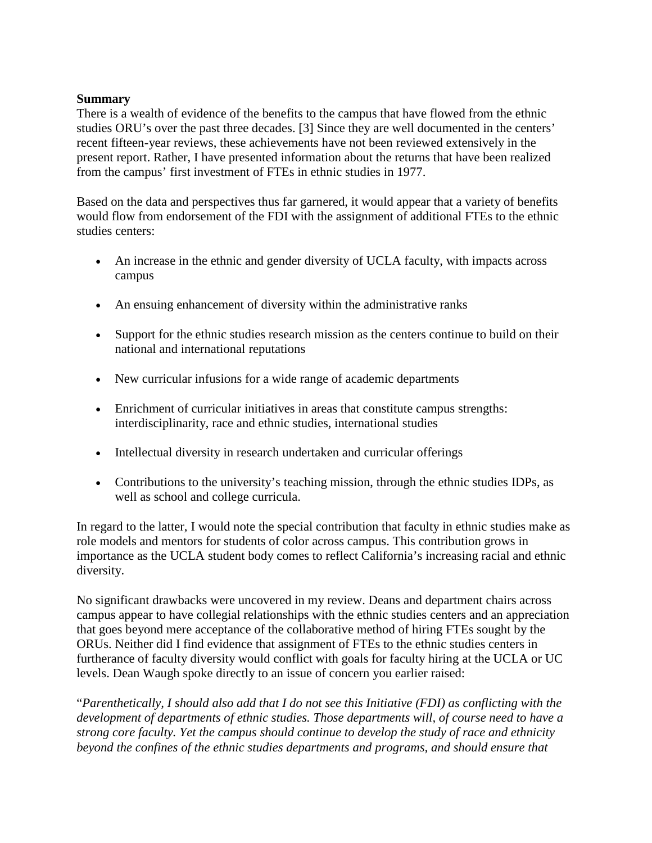#### **Summary**

There is a wealth of evidence of the benefits to the campus that have flowed from the ethnic studies ORU's over the past three decades. [3] Since they are well documented in the centers' recent fifteen-year reviews, these achievements have not been reviewed extensively in the present report. Rather, I have presented information about the returns that have been realized from the campus' first investment of FTEs in ethnic studies in 1977.

Based on the data and perspectives thus far garnered, it would appear that a variety of benefits would flow from endorsement of the FDI with the assignment of additional FTEs to the ethnic studies centers:

- An increase in the ethnic and gender diversity of UCLA faculty, with impacts across campus
- An ensuing enhancement of diversity within the administrative ranks
- Support for the ethnic studies research mission as the centers continue to build on their national and international reputations
- New curricular infusions for a wide range of academic departments
- Enrichment of curricular initiatives in areas that constitute campus strengths: interdisciplinarity, race and ethnic studies, international studies
- Intellectual diversity in research undertaken and curricular offerings
- Contributions to the university's teaching mission, through the ethnic studies IDPs, as well as school and college curricula.

In regard to the latter, I would note the special contribution that faculty in ethnic studies make as role models and mentors for students of color across campus. This contribution grows in importance as the UCLA student body comes to reflect California's increasing racial and ethnic diversity.

No significant drawbacks were uncovered in my review. Deans and department chairs across campus appear to have collegial relationships with the ethnic studies centers and an appreciation that goes beyond mere acceptance of the collaborative method of hiring FTEs sought by the ORUs. Neither did I find evidence that assignment of FTEs to the ethnic studies centers in furtherance of faculty diversity would conflict with goals for faculty hiring at the UCLA or UC levels. Dean Waugh spoke directly to an issue of concern you earlier raised:

"*Parenthetically, I should also add that I do not see this Initiative (FDI) as conflicting with the development of departments of ethnic studies. Those departments will, of course need to have a strong core faculty. Yet the campus should continue to develop the study of race and ethnicity beyond the confines of the ethnic studies departments and programs, and should ensure that*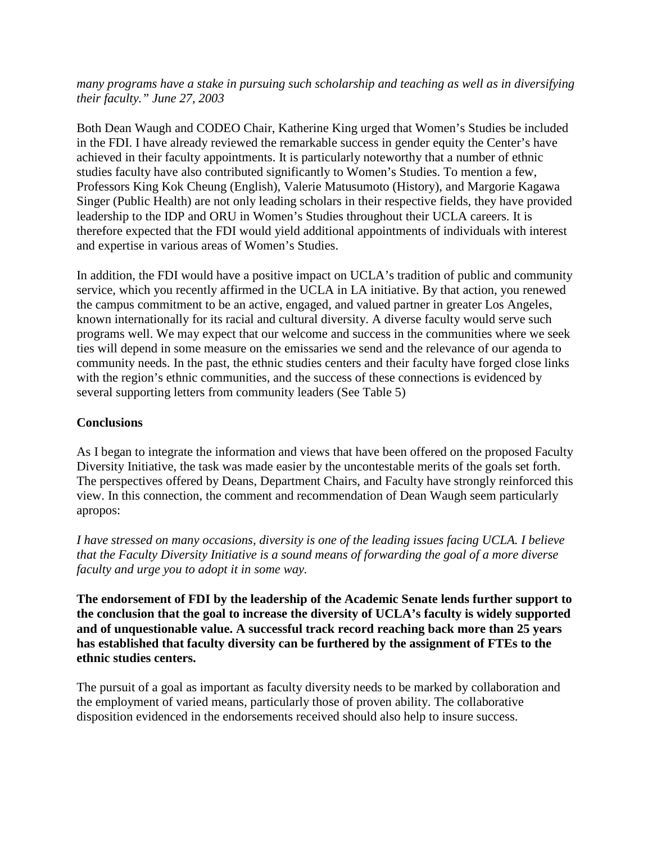*many programs have a stake in pursuing such scholarship and teaching as well as in diversifying their faculty." June 27, 2003* 

Both Dean Waugh and CODEO Chair, Katherine King urged that Women's Studies be included in the FDI. I have already reviewed the remarkable success in gender equity the Center's have achieved in their faculty appointments. It is particularly noteworthy that a number of ethnic studies faculty have also contributed significantly to Women's Studies. To mention a few, Professors King Kok Cheung (English), Valerie Matusumoto (History), and Margorie Kagawa Singer (Public Health) are not only leading scholars in their respective fields, they have provided leadership to the IDP and ORU in Women's Studies throughout their UCLA careers. It is therefore expected that the FDI would yield additional appointments of individuals with interest and expertise in various areas of Women's Studies.

In addition, the FDI would have a positive impact on UCLA's tradition of public and community service, which you recently affirmed in the UCLA in LA initiative. By that action, you renewed the campus commitment to be an active, engaged, and valued partner in greater Los Angeles, known internationally for its racial and cultural diversity. A diverse faculty would serve such programs well. We may expect that our welcome and success in the communities where we seek ties will depend in some measure on the emissaries we send and the relevance of our agenda to community needs. In the past, the ethnic studies centers and their faculty have forged close links with the region's ethnic communities, and the success of these connections is evidenced by several supporting letters from community leaders (See Table 5)

### **Conclusions**

As I began to integrate the information and views that have been offered on the proposed Faculty Diversity Initiative, the task was made easier by the uncontestable merits of the goals set forth. The perspectives offered by Deans, Department Chairs, and Faculty have strongly reinforced this view. In this connection, the comment and recommendation of Dean Waugh seem particularly apropos:

*I have stressed on many occasions, diversity is one of the leading issues facing UCLA. I believe that the Faculty Diversity Initiative is a sound means of forwarding the goal of a more diverse faculty and urge you to adopt it in some way.* 

**The endorsement of FDI by the leadership of the Academic Senate lends further support to the conclusion that the goal to increase the diversity of UCLA's faculty is widely supported and of unquestionable value. A successful track record reaching back more than 25 years has established that faculty diversity can be furthered by the assignment of FTEs to the ethnic studies centers.** 

The pursuit of a goal as important as faculty diversity needs to be marked by collaboration and the employment of varied means, particularly those of proven ability. The collaborative disposition evidenced in the endorsements received should also help to insure success.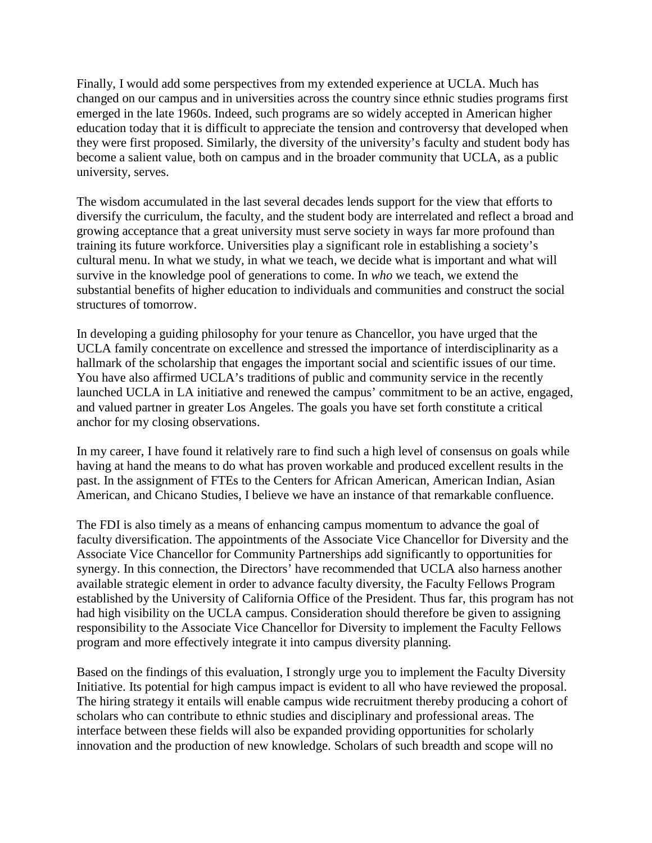Finally, I would add some perspectives from my extended experience at UCLA. Much has changed on our campus and in universities across the country since ethnic studies programs first emerged in the late 1960s. Indeed, such programs are so widely accepted in American higher education today that it is difficult to appreciate the tension and controversy that developed when they were first proposed. Similarly, the diversity of the university's faculty and student body has become a salient value, both on campus and in the broader community that UCLA, as a public university, serves.

The wisdom accumulated in the last several decades lends support for the view that efforts to diversify the curriculum, the faculty, and the student body are interrelated and reflect a broad and growing acceptance that a great university must serve society in ways far more profound than training its future workforce. Universities play a significant role in establishing a society's cultural menu. In what we study, in what we teach, we decide what is important and what will survive in the knowledge pool of generations to come. In *who* we teach, we extend the substantial benefits of higher education to individuals and communities and construct the social structures of tomorrow.

In developing a guiding philosophy for your tenure as Chancellor, you have urged that the UCLA family concentrate on excellence and stressed the importance of interdisciplinarity as a hallmark of the scholarship that engages the important social and scientific issues of our time. You have also affirmed UCLA's traditions of public and community service in the recently launched UCLA in LA initiative and renewed the campus' commitment to be an active, engaged, and valued partner in greater Los Angeles. The goals you have set forth constitute a critical anchor for my closing observations.

In my career, I have found it relatively rare to find such a high level of consensus on goals while having at hand the means to do what has proven workable and produced excellent results in the past. In the assignment of FTEs to the Centers for African American, American Indian, Asian American, and Chicano Studies, I believe we have an instance of that remarkable confluence.

The FDI is also timely as a means of enhancing campus momentum to advance the goal of faculty diversification. The appointments of the Associate Vice Chancellor for Diversity and the Associate Vice Chancellor for Community Partnerships add significantly to opportunities for synergy. In this connection, the Directors' have recommended that UCLA also harness another available strategic element in order to advance faculty diversity, the Faculty Fellows Program established by the University of California Office of the President. Thus far, this program has not had high visibility on the UCLA campus. Consideration should therefore be given to assigning responsibility to the Associate Vice Chancellor for Diversity to implement the Faculty Fellows program and more effectively integrate it into campus diversity planning.

Based on the findings of this evaluation, I strongly urge you to implement the Faculty Diversity Initiative. Its potential for high campus impact is evident to all who have reviewed the proposal. The hiring strategy it entails will enable campus wide recruitment thereby producing a cohort of scholars who can contribute to ethnic studies and disciplinary and professional areas. The interface between these fields will also be expanded providing opportunities for scholarly innovation and the production of new knowledge. Scholars of such breadth and scope will no